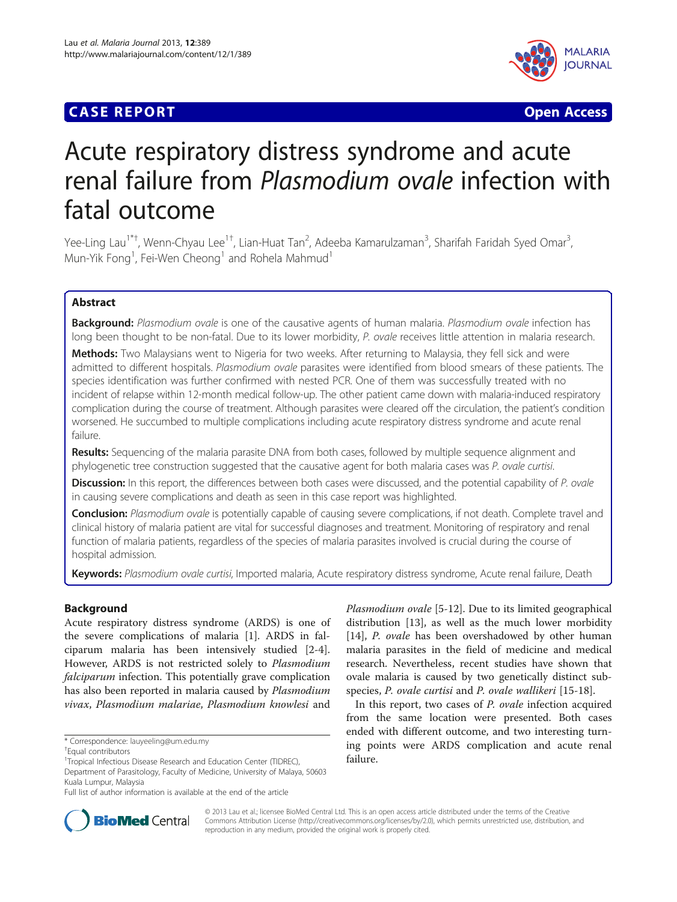# **CASE REPORT CASE ACCESS**



# Acute respiratory distress syndrome and acute renal failure from Plasmodium ovale infection with fatal outcome

Yee-Ling Lau<sup>1\*†</sup>, Wenn-Chyau Lee<sup>1†</sup>, Lian-Huat Tan<sup>2</sup>, Adeeba Kamarulzaman<sup>3</sup>, Sharifah Faridah Syed Omar<sup>3</sup> , Mun-Yik Fong<sup>1</sup>, Fei-Wen Cheong<sup>1</sup> and Rohela Mahmud<sup>1</sup>

# Abstract

Background: Plasmodium ovale is one of the causative agents of human malaria. Plasmodium ovale infection has long been thought to be non-fatal. Due to its lower morbidity, P. ovale receives little attention in malaria research.

Methods: Two Malaysians went to Nigeria for two weeks. After returning to Malaysia, they fell sick and were admitted to different hospitals. Plasmodium ovale parasites were identified from blood smears of these patients. The species identification was further confirmed with nested PCR. One of them was successfully treated with no incident of relapse within 12-month medical follow-up. The other patient came down with malaria-induced respiratory complication during the course of treatment. Although parasites were cleared off the circulation, the patient's condition worsened. He succumbed to multiple complications including acute respiratory distress syndrome and acute renal failure.

Results: Sequencing of the malaria parasite DNA from both cases, followed by multiple sequence alignment and phylogenetic tree construction suggested that the causative agent for both malaria cases was P. ovale curtisi.

**Discussion:** In this report, the differences between both cases were discussed, and the potential capability of P. ovale in causing severe complications and death as seen in this case report was highlighted.

Conclusion: Plasmodium ovale is potentially capable of causing severe complications, if not death. Complete travel and clinical history of malaria patient are vital for successful diagnoses and treatment. Monitoring of respiratory and renal function of malaria patients, regardless of the species of malaria parasites involved is crucial during the course of hospital admission.

Keywords: Plasmodium ovale curtisi, Imported malaria, Acute respiratory distress syndrome, Acute renal failure, Death

# Background

Acute respiratory distress syndrome (ARDS) is one of the severe complications of malaria [[1](#page-6-0)]. ARDS in falciparum malaria has been intensively studied [[2-4](#page-6-0)]. However, ARDS is not restricted solely to Plasmodium falciparum infection. This potentially grave complication has also been reported in malaria caused by Plasmodium vivax, Plasmodium malariae, Plasmodium knowlesi and

Plasmodium ovale [[5-12](#page-6-0)]. Due to its limited geographical distribution [\[13\]](#page-6-0), as well as the much lower morbidity [[14\]](#page-6-0), *P. ovale* has been overshadowed by other human malaria parasites in the field of medicine and medical research. Nevertheless, recent studies have shown that ovale malaria is caused by two genetically distinct sub-species, P. ovale curtisi and P. ovale wallikeri [\[15](#page-6-0)-[18\]](#page-6-0).

In this report, two cases of P. ovale infection acquired from the same location were presented. Both cases ended with different outcome, and two interesting turning points were ARDS complication and acute renal failure.



© 2013 Lau et al.; licensee BioMed Central Ltd. This is an open access article distributed under the terms of the Creative Commons Attribution License [\(http://creativecommons.org/licenses/by/2.0\)](http://creativecommons.org/licenses/by/2.0), which permits unrestricted use, distribution, and reproduction in any medium, provided the original work is properly cited.

<sup>\*</sup> Correspondence: [lauyeeling@um.edu.my](mailto:lauyeeling@um.edu.my) †

Equal contributors

<sup>&</sup>lt;sup>1</sup>Tropical Infectious Disease Research and Education Center (TIDREC),

Department of Parasitology, Faculty of Medicine, University of Malaya, 50603 Kuala Lumpur, Malaysia

Full list of author information is available at the end of the article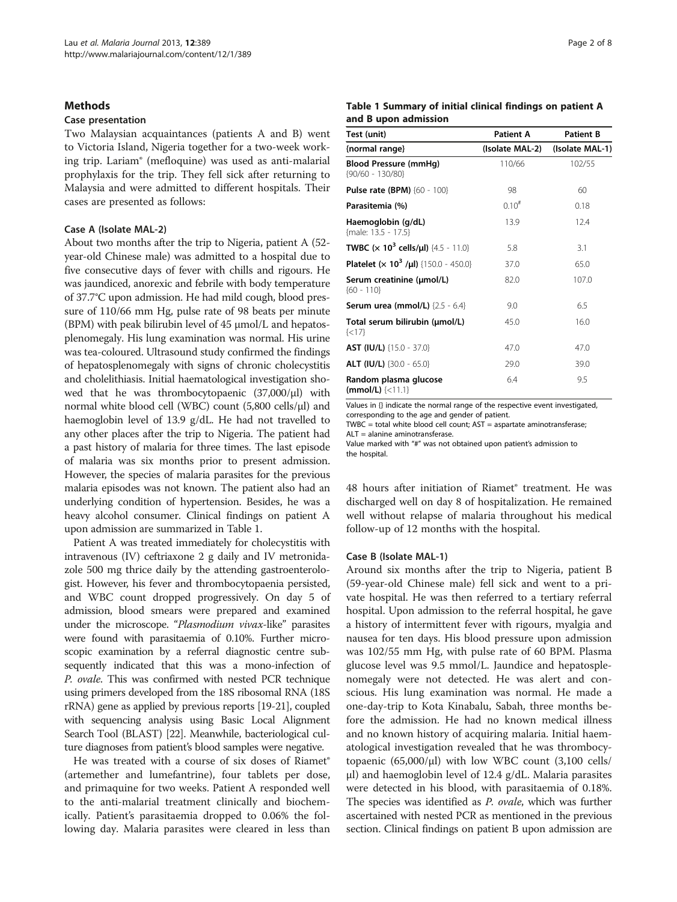## <span id="page-1-0"></span>**Methods**

#### Case presentation

Two Malaysian acquaintances (patients A and B) went to Victoria Island, Nigeria together for a two-week working trip. Lariam® (mefloquine) was used as anti-malarial prophylaxis for the trip. They fell sick after returning to Malaysia and were admitted to different hospitals. Their cases are presented as follows:

## Case A (Isolate MAL-2)

About two months after the trip to Nigeria, patient A (52 year-old Chinese male) was admitted to a hospital due to five consecutive days of fever with chills and rigours. He was jaundiced, anorexic and febrile with body temperature of 37.7°C upon admission. He had mild cough, blood pressure of 110/66 mm Hg, pulse rate of 98 beats per minute (BPM) with peak bilirubin level of 45 μmol/L and hepatosplenomegaly. His lung examination was normal. His urine was tea-coloured. Ultrasound study confirmed the findings of hepatosplenomegaly with signs of chronic cholecystitis and cholelithiasis. Initial haematological investigation showed that he was thrombocytopaenic  $(37,000/\mu l)$  with normal white blood cell (WBC) count (5,800 cells/μl) and haemoglobin level of 13.9 g/dL. He had not travelled to any other places after the trip to Nigeria. The patient had a past history of malaria for three times. The last episode of malaria was six months prior to present admission. However, the species of malaria parasites for the previous malaria episodes was not known. The patient also had an underlying condition of hypertension. Besides, he was a heavy alcohol consumer. Clinical findings on patient A upon admission are summarized in Table 1.

Patient A was treated immediately for cholecystitis with intravenous (IV) ceftriaxone 2 g daily and IV metronidazole 500 mg thrice daily by the attending gastroenterologist. However, his fever and thrombocytopaenia persisted, and WBC count dropped progressively. On day 5 of admission, blood smears were prepared and examined under the microscope. "Plasmodium vivax-like" parasites were found with parasitaemia of 0.10%. Further microscopic examination by a referral diagnostic centre subsequently indicated that this was a mono-infection of P. ovale. This was confirmed with nested PCR technique using primers developed from the 18S ribosomal RNA (18S rRNA) gene as applied by previous reports [[19-21\]](#page-6-0), coupled with sequencing analysis using Basic Local Alignment Search Tool (BLAST) [\[22\]](#page-6-0). Meanwhile, bacteriological culture diagnoses from patient's blood samples were negative.

He was treated with a course of six doses of Riamet® (artemether and lumefantrine), four tablets per dose, and primaquine for two weeks. Patient A responded well to the anti-malarial treatment clinically and biochemically. Patient's parasitaemia dropped to 0.06% the following day. Malaria parasites were cleared in less than

#### Table 1 Summary of initial clinical findings on patient A and B upon admission

| Test (unit)                                                              | <b>Patient A</b> | <b>Patient B</b> |
|--------------------------------------------------------------------------|------------------|------------------|
| {normal range}                                                           | (Isolate MAL-2)  | (Isolate MAL-1)  |
| <b>Blood Pressure (mmHq)</b><br>${90/60 - 130/80}$                       | 110/66           | 102/55           |
| <b>Pulse rate (BPM)</b> {60 - 100}                                       | 98               | 60               |
| Parasitemia (%)                                                          | $0.10^{#}$       | 0.18             |
| Haemoglobin (g/dL)<br>{male: 13.5 - 17.5}                                | 13.9             | 12.4             |
| <b>TWBC</b> ( $\times$ 10 <sup>3</sup> cells/ul) {4.5 - 11.0}            | 5.8              | 3.1              |
| <b>Platelet (<math>\times</math> 10<sup>3</sup> /µl)</b> {150.0 - 450.0} | 37.0             | 65.0             |
| Serum creatinine (µmol/L)<br>${60 - 110}$                                | 82.0             | 107.0            |
| <b>Serum urea (mmol/L)</b> $\{2.5 - 6.4\}$                               | 9.0              | 6.5              |
| Total serum bilirubin (umol/L)<br>$\{<17\}$                              | 45.0             | 16.0             |
| <b>AST (IU/L)</b> $\{15.0 - 37.0\}$                                      | 47.0             | 47.0             |
| <b>ALT (IU/L)</b> $\{30.0 - 65.0\}$                                      | 29.0             | 39.0             |
| Random plasma glucose<br>$(mmol/L)$ {<11.1}                              | 6.4              | 9.5              |

Values in {} indicate the normal range of the respective event investigated, corresponding to the age and gender of patient.

TWBC = total white blood cell count; AST = aspartate aminotransferase;  $ALT =$ alanine aminotransferase.

Value marked with "#" was not obtained upon patient's admission to the hospital.

48 hours after initiation of Riamet<sup>®</sup> treatment. He was discharged well on day 8 of hospitalization. He remained well without relapse of malaria throughout his medical follow-up of 12 months with the hospital.

#### Case B (Isolate MAL-1)

Around six months after the trip to Nigeria, patient B (59-year-old Chinese male) fell sick and went to a private hospital. He was then referred to a tertiary referral hospital. Upon admission to the referral hospital, he gave a history of intermittent fever with rigours, myalgia and nausea for ten days. His blood pressure upon admission was 102/55 mm Hg, with pulse rate of 60 BPM. Plasma glucose level was 9.5 mmol/L. Jaundice and hepatosplenomegaly were not detected. He was alert and conscious. His lung examination was normal. He made a one-day-trip to Kota Kinabalu, Sabah, three months before the admission. He had no known medical illness and no known history of acquiring malaria. Initial haematological investigation revealed that he was thrombocytopaenic (65,000/μl) with low WBC count (3,100 cells/ μl) and haemoglobin level of 12.4 g/dL. Malaria parasites were detected in his blood, with parasitaemia of 0.18%. The species was identified as *P. ovale*, which was further ascertained with nested PCR as mentioned in the previous section. Clinical findings on patient B upon admission are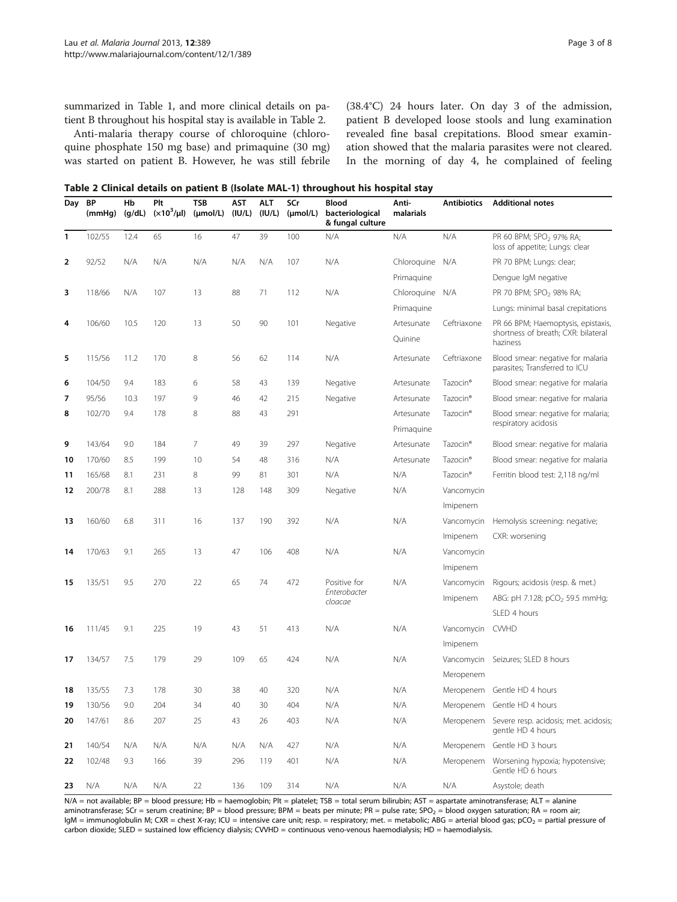summarized in Table [1,](#page-1-0) and more clinical details on patient B throughout his hospital stay is available in Table 2.

Anti-malaria therapy course of chloroquine (chloroquine phosphate 150 mg base) and primaquine (30 mg) was started on patient B. However, he was still febrile (38.4°C) 24 hours later. On day 3 of the admission, patient B developed loose stools and lung examination revealed fine basal crepitations. Blood smear examination showed that the malaria parasites were not cleared. In the morning of day 4, he complained of feeling

Table 2 Clinical details on patient B (Isolate MAL-1) throughout his hospital stay

| Day          | ΒP<br>(mmHg) | Нb<br>(q/dL) | Plt<br>$(x10^3/\mu l)$ | TSB<br>$(\mu mol/L)$ | AST<br>(IU/L) | <b>ALT</b><br>(IU/L) | SCr<br>$(\mu mol/L)$ | <b>Blood</b><br>bacteriological<br>& fungal culture | Anti-<br>malarials       | <b>Antibiotics</b>   | <b>Additional notes</b>                                                               |
|--------------|--------------|--------------|------------------------|----------------------|---------------|----------------------|----------------------|-----------------------------------------------------|--------------------------|----------------------|---------------------------------------------------------------------------------------|
| $\mathbf{1}$ | 102/55       | 12.4         | 65                     | 16                   | 47            | 39                   | 100                  | N/A                                                 | N/A                      | N/A                  | PR 60 BPM; SPO <sub>2</sub> 97% RA;<br>loss of appetite; Lungs: clear                 |
| 2            | 92/52        | N/A          | N/A                    | N/A                  | N/A           | N/A                  | 107                  | N/A                                                 | Chloroquine              | N/A                  | PR 70 BPM; Lungs: clear;                                                              |
|              |              |              |                        |                      |               |                      |                      |                                                     | Primaguine               |                      | Dengue IgM negative                                                                   |
| 3            | 118/66       | N/A          | 107                    | 13                   | 88            | 71                   | 112                  | N/A                                                 | Chloroquine              | N/A                  | PR 70 BPM; SPO <sub>2</sub> 98% RA;                                                   |
|              |              |              |                        |                      |               |                      |                      |                                                     | Primaguine               |                      | Lungs: minimal basal crepitations                                                     |
| 4            | 106/60       | 10.5         | 120                    | 13                   | 50            | 90                   | 101                  | Negative                                            | Artesunate<br>Quinine    | Ceftriaxone          | PR 66 BPM; Haemoptysis, epistaxis,<br>shortness of breath; CXR: bilateral<br>haziness |
| 5            | 115/56       | 11.2         | 170                    | 8                    | 56            | 62                   | 114                  | N/A                                                 | Artesunate               | Ceftriaxone          | Blood smear: negative for malaria<br>parasites; Transferred to ICU                    |
| 6            | 104/50       | 9.4          | 183                    | 6                    | 58            | 43                   | 139                  | Negative                                            | Artesunate               | Tazocin <sup>®</sup> | Blood smear: negative for malaria                                                     |
| 7            | 95/56        | 10.3         | 197                    | 9                    | 46            | 42                   | 215                  | Negative                                            | Artesunate               | Tazocin <sup>®</sup> | Blood smear: negative for malaria                                                     |
| 8            | 102/70       | 9.4          | 178                    | 8                    | 88            | 43                   | 291                  |                                                     | Artesunate<br>Primaguine | Tazocin <sup>®</sup> | Blood smear: negative for malaria;<br>respiratory acidosis                            |
| 9            | 143/64       | 9.0          | 184                    | 7                    | 49            | 39                   | 297                  | Negative                                            | Artesunate               | Tazocin <sup>®</sup> | Blood smear: negative for malaria                                                     |
| 10           | 170/60       | 8.5          | 199                    | 10                   | 54            | 48                   | 316                  | N/A                                                 | Artesunate               | Tazocin <sup>®</sup> | Blood smear: negative for malaria                                                     |
| 11           | 165/68       | 8.1          | 231                    | 8                    | 99            | 81                   | 301                  | N/A                                                 | N/A                      | Tazocin <sup>®</sup> | Ferritin blood test: 2,118 ng/ml                                                      |
| 12           | 200/78       | 8.1          | 288                    | 13                   | 128           | 148                  | 309                  | Negative                                            | N/A                      | Vancomycin           |                                                                                       |
|              |              |              |                        |                      |               |                      |                      |                                                     |                          | Imipenem             |                                                                                       |
| 13           | 160/60       | 6.8          | 311                    | 16                   | 137           | 190                  | 392                  | N/A                                                 | N/A                      | Vancomycin           | Hemolysis screening: negative;                                                        |
|              |              |              |                        |                      |               |                      |                      |                                                     |                          | Imipenem             | CXR: worsening                                                                        |
| 14           | 170/63       | 9.1          | 265                    | 13                   | 47            | 106                  | 408                  | N/A                                                 | N/A                      | Vancomycin           |                                                                                       |
|              |              |              |                        |                      |               |                      |                      |                                                     |                          | Imipenem             |                                                                                       |
| 15           | 135/51       | 9.5          | 270                    | 22                   | 65            | 74                   | 472                  | Positive for<br>Enterobacter<br>cloacae             | N/A                      | Vancomycin           | Rigours; acidosis (resp. & met.)                                                      |
|              |              |              |                        |                      |               |                      |                      |                                                     |                          | Imipenem             | ABG: pH 7.128; pCO <sub>2</sub> 59.5 mmHg;                                            |
|              |              |              |                        |                      |               |                      |                      |                                                     |                          |                      | SLED 4 hours                                                                          |
| 16           | 111/45       | 9.1          | 225                    | 19                   | 43            | 51                   | 413                  | N/A                                                 | N/A                      | Vancomycin           | <b>CWHD</b>                                                                           |
|              |              |              |                        |                      |               |                      |                      |                                                     |                          | Imipenem             |                                                                                       |
| 17           | 134/57       | 7.5          | 179                    | 29                   | 109           | 65                   | 424                  | N/A                                                 | N/A                      | Vancomycin           | Seizures; SLED 8 hours                                                                |
|              |              |              |                        |                      |               |                      |                      |                                                     |                          | Meropenem            |                                                                                       |
| 18           | 135/55       | 7.3          | 178                    | 30                   | 38            | 40                   | 320                  | N/A                                                 | N/A                      | Meropenem            | Gentle HD 4 hours                                                                     |
| 19           | 130/56       | 9.0          | 204                    | 34                   | 40            | 30                   | 404                  | N/A                                                 | N/A                      |                      | Meropenem Gentle HD 4 hours                                                           |
| 20           | 147/61       | 8.6          | 207                    | 25                   | 43            | 26                   | 403                  | N/A                                                 | N/A                      | Meropenem            | Severe resp. acidosis; met. acidosis;<br>gentle HD 4 hours                            |
| 21           | 140/54       | N/A          | N/A                    | N/A                  | N/A           | N/A                  | 427                  | N/A                                                 | N/A                      |                      | Meropenem Gentle HD 3 hours                                                           |
| 22           | 102/48       | 9.3          | 166                    | 39                   | 296           | 119                  | 401                  | N/A                                                 | N/A                      | Meropenem            | Worsening hypoxia; hypotensive;<br>Gentle HD 6 hours                                  |
| 23           | N/A          | N/A          | N/A                    | 22                   | 136           | 109                  | 314                  | N/A                                                 | N/A                      | N/A                  | Asystole; death                                                                       |

N/A = not available; BP = blood pressure; Hb = haemoglobin; Plt = platelet; TSB = total serum bilirubin; AST = aspartate aminotransferase; ALT = alanine aminotransferase; SCr = serum creatinine; BP = blood pressure; BPM = beats per minute; PR = pulse rate; SPO<sub>2</sub> = blood oxygen saturation; RA = room air; IgM = immunoglobulin M; CXR = chest X-ray; ICU = intensive care unit; resp. = respiratory; met. = metabolic; ABG = arterial blood gas; pCO<sub>2</sub> = partial pressure of carbon dioxide; SLED = sustained low efficiency dialysis; CVVHD = continuous veno-venous haemodialysis; HD = haemodialysis.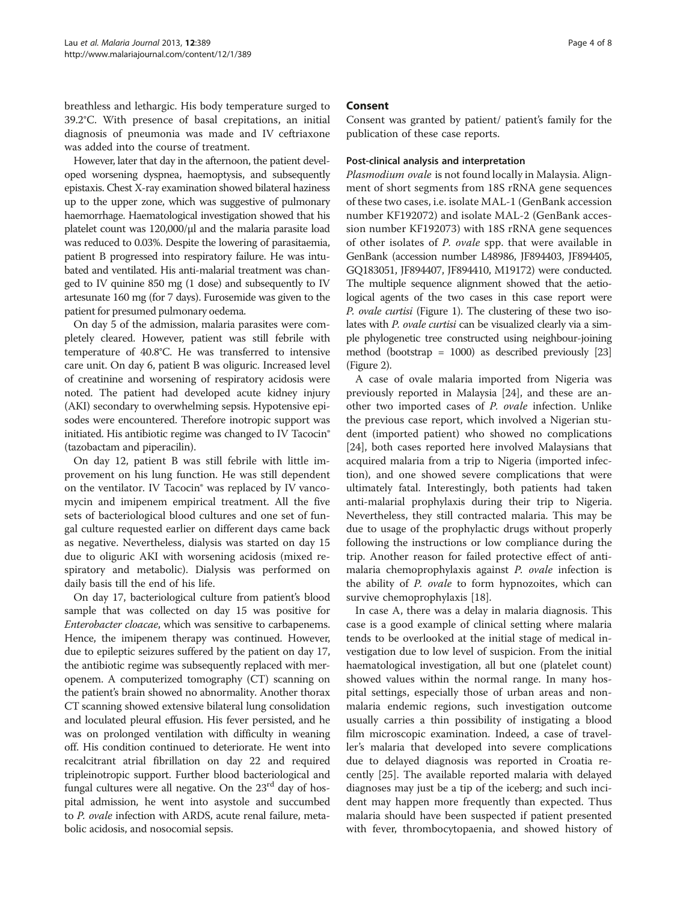breathless and lethargic. His body temperature surged to 39.2°C. With presence of basal crepitations, an initial diagnosis of pneumonia was made and IV ceftriaxone was added into the course of treatment.

However, later that day in the afternoon, the patient developed worsening dyspnea, haemoptysis, and subsequently epistaxis. Chest X-ray examination showed bilateral haziness up to the upper zone, which was suggestive of pulmonary haemorrhage. Haematological investigation showed that his platelet count was 120,000/μl and the malaria parasite load was reduced to 0.03%. Despite the lowering of parasitaemia, patient B progressed into respiratory failure. He was intubated and ventilated. His anti-malarial treatment was changed to IV quinine 850 mg (1 dose) and subsequently to IV artesunate 160 mg (for 7 days). Furosemide was given to the patient for presumed pulmonary oedema.

On day 5 of the admission, malaria parasites were completely cleared. However, patient was still febrile with temperature of 40.8°C. He was transferred to intensive care unit. On day 6, patient B was oliguric. Increased level of creatinine and worsening of respiratory acidosis were noted. The patient had developed acute kidney injury (AKI) secondary to overwhelming sepsis. Hypotensive episodes were encountered. Therefore inotropic support was initiated. His antibiotic regime was changed to IV Tacocin® (tazobactam and piperacilin).

On day 12, patient B was still febrile with little improvement on his lung function. He was still dependent on the ventilator. IV Tacocin® was replaced by IV vancomycin and imipenem empirical treatment. All the five sets of bacteriological blood cultures and one set of fungal culture requested earlier on different days came back as negative. Nevertheless, dialysis was started on day 15 due to oliguric AKI with worsening acidosis (mixed respiratory and metabolic). Dialysis was performed on daily basis till the end of his life.

On day 17, bacteriological culture from patient's blood sample that was collected on day 15 was positive for Enterobacter cloacae, which was sensitive to carbapenems. Hence, the imipenem therapy was continued. However, due to epileptic seizures suffered by the patient on day 17, the antibiotic regime was subsequently replaced with meropenem. A computerized tomography (CT) scanning on the patient's brain showed no abnormality. Another thorax CT scanning showed extensive bilateral lung consolidation and loculated pleural effusion. His fever persisted, and he was on prolonged ventilation with difficulty in weaning off. His condition continued to deteriorate. He went into recalcitrant atrial fibrillation on day 22 and required tripleinotropic support. Further blood bacteriological and fungal cultures were all negative. On the  $23<sup>rd</sup>$  day of hospital admission, he went into asystole and succumbed to P. ovale infection with ARDS, acute renal failure, metabolic acidosis, and nosocomial sepsis.

# Consent

Consent was granted by patient/ patient's family for the publication of these case reports.

### Post-clinical analysis and interpretation

Plasmodium ovale is not found locally in Malaysia. Alignment of short segments from 18S rRNA gene sequences of these two cases, i.e. isolate MAL-1 (GenBank accession number KF192072) and isolate MAL-2 (GenBank accession number KF192073) with 18S rRNA gene sequences of other isolates of P. ovale spp. that were available in GenBank (accession number L48986, JF894403, JF894405, GQ183051, JF894407, JF894410, M19172) were conducted. The multiple sequence alignment showed that the aetiological agents of the two cases in this case report were P. ovale curtisi (Figure [1](#page-4-0)). The clustering of these two isolates with P. ovale curtisi can be visualized clearly via a simple phylogenetic tree constructed using neighbour-joining method (bootstrap = 1000) as described previously [\[23](#page-6-0)] (Figure [2\)](#page-4-0).

A case of ovale malaria imported from Nigeria was previously reported in Malaysia [[24\]](#page-6-0), and these are another two imported cases of P. ovale infection. Unlike the previous case report, which involved a Nigerian student (imported patient) who showed no complications [[24\]](#page-6-0), both cases reported here involved Malaysians that acquired malaria from a trip to Nigeria (imported infection), and one showed severe complications that were ultimately fatal. Interestingly, both patients had taken anti-malarial prophylaxis during their trip to Nigeria. Nevertheless, they still contracted malaria. This may be due to usage of the prophylactic drugs without properly following the instructions or low compliance during the trip. Another reason for failed protective effect of antimalaria chemoprophylaxis against P. ovale infection is the ability of P. ovale to form hypnozoites, which can survive chemoprophylaxis [\[18](#page-6-0)].

In case A, there was a delay in malaria diagnosis. This case is a good example of clinical setting where malaria tends to be overlooked at the initial stage of medical investigation due to low level of suspicion. From the initial haematological investigation, all but one (platelet count) showed values within the normal range. In many hospital settings, especially those of urban areas and nonmalaria endemic regions, such investigation outcome usually carries a thin possibility of instigating a blood film microscopic examination. Indeed, a case of traveller's malaria that developed into severe complications due to delayed diagnosis was reported in Croatia recently [\[25\]](#page-6-0). The available reported malaria with delayed diagnoses may just be a tip of the iceberg; and such incident may happen more frequently than expected. Thus malaria should have been suspected if patient presented with fever, thrombocytopaenia, and showed history of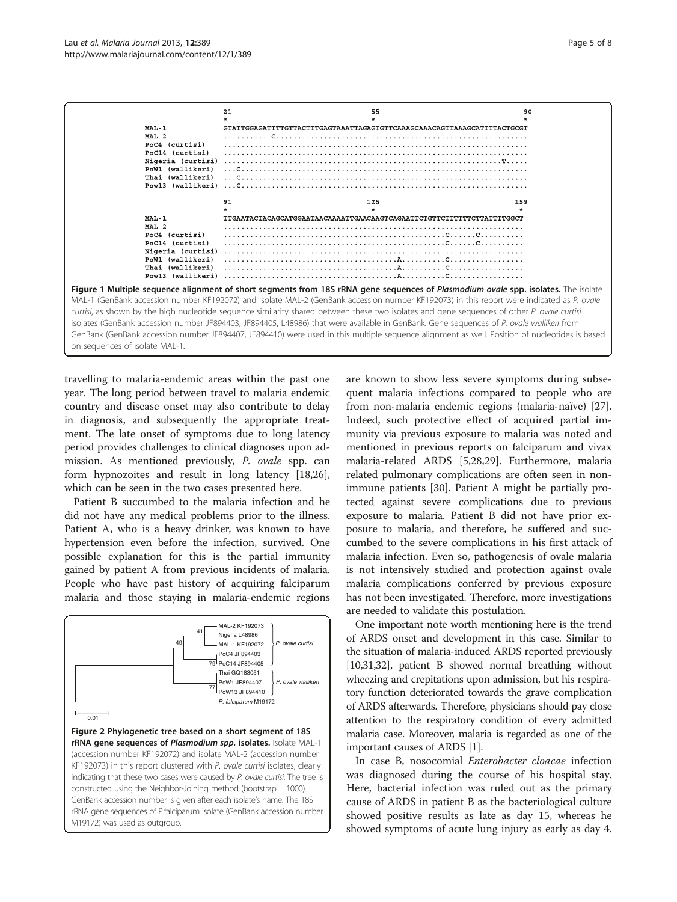<span id="page-4-0"></span>

travelling to malaria-endemic areas within the past one year. The long period between travel to malaria endemic country and disease onset may also contribute to delay in diagnosis, and subsequently the appropriate treatment. The late onset of symptoms due to long latency period provides challenges to clinical diagnoses upon admission. As mentioned previously, P. ovale spp. can form hypnozoites and result in long latency [\[18,26](#page-6-0)], which can be seen in the two cases presented here.

Patient B succumbed to the malaria infection and he did not have any medical problems prior to the illness. Patient A, who is a heavy drinker, was known to have hypertension even before the infection, survived. One possible explanation for this is the partial immunity gained by patient A from previous incidents of malaria. People who have past history of acquiring falciparum malaria and those staying in malaria-endemic regions



Figure 2 Phylogenetic tree based on a short segment of 18S rRNA gene sequences of Plasmodium spp. isolates. Isolate MAL-1 (accession number KF192072) and isolate MAL-2 (accession number KF192073) in this report clustered with P. ovale curtisi isolates, clearly indicating that these two cases were caused by P. ovale curtisi. The tree is constructed using the Neighbor-Joining method (bootstrap = 1000). GenBank accession number is given after each isolate's name. The 18S rRNA gene sequences of P.falciparum isolate (GenBank accession number M19172) was used as outgroup.

are known to show less severe symptoms during subsequent malaria infections compared to people who are from non-malaria endemic regions (malaria-naïve) [\[27](#page-6-0)]. Indeed, such protective effect of acquired partial immunity via previous exposure to malaria was noted and mentioned in previous reports on falciparum and vivax malaria-related ARDS [\[5,28,29](#page-6-0)]. Furthermore, malaria related pulmonary complications are often seen in nonimmune patients [[30](#page-6-0)]. Patient A might be partially protected against severe complications due to previous exposure to malaria. Patient B did not have prior exposure to malaria, and therefore, he suffered and succumbed to the severe complications in his first attack of malaria infection. Even so, pathogenesis of ovale malaria is not intensively studied and protection against ovale malaria complications conferred by previous exposure has not been investigated. Therefore, more investigations are needed to validate this postulation.

One important note worth mentioning here is the trend of ARDS onset and development in this case. Similar to the situation of malaria-induced ARDS reported previously [[10,31,32](#page-6-0)], patient B showed normal breathing without wheezing and crepitations upon admission, but his respiratory function deteriorated towards the grave complication of ARDS afterwards. Therefore, physicians should pay close attention to the respiratory condition of every admitted malaria case. Moreover, malaria is regarded as one of the important causes of ARDS [\[1\]](#page-6-0).

In case B, nosocomial Enterobacter cloacae infection was diagnosed during the course of his hospital stay. Here, bacterial infection was ruled out as the primary cause of ARDS in patient B as the bacteriological culture showed positive results as late as day 15, whereas he showed symptoms of acute lung injury as early as day 4.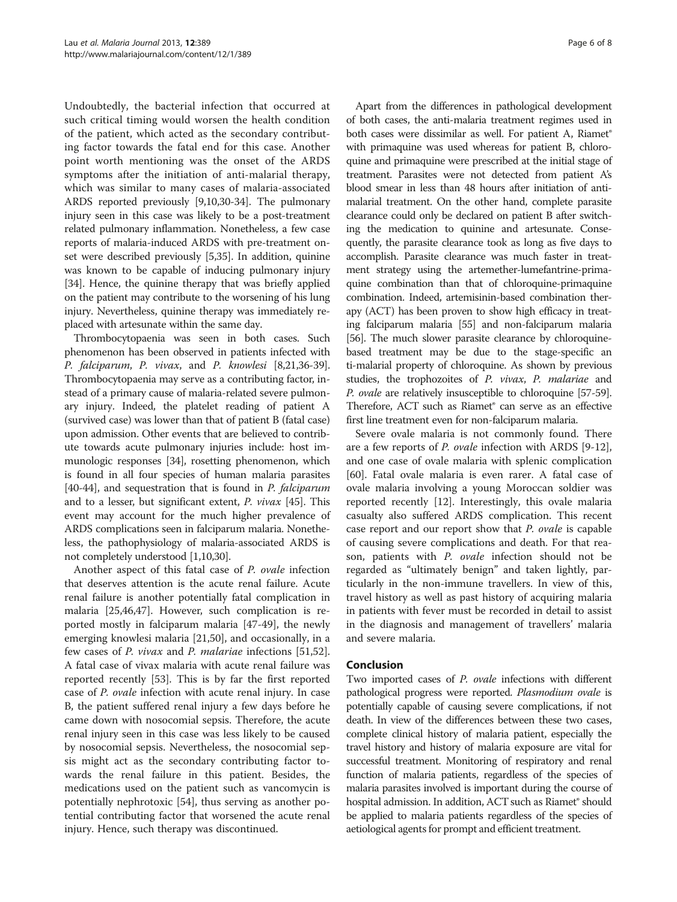Undoubtedly, the bacterial infection that occurred at such critical timing would worsen the health condition of the patient, which acted as the secondary contributing factor towards the fatal end for this case. Another point worth mentioning was the onset of the ARDS symptoms after the initiation of anti-malarial therapy, which was similar to many cases of malaria-associated ARDS reported previously [[9,10,30-34\]](#page-6-0). The pulmonary injury seen in this case was likely to be a post-treatment related pulmonary inflammation. Nonetheless, a few case reports of malaria-induced ARDS with pre-treatment onset were described previously [[5,35](#page-6-0)]. In addition, quinine was known to be capable of inducing pulmonary injury [[34](#page-6-0)]. Hence, the quinine therapy that was briefly applied on the patient may contribute to the worsening of his lung injury. Nevertheless, quinine therapy was immediately replaced with artesunate within the same day.

Thrombocytopaenia was seen in both cases. Such phenomenon has been observed in patients infected with P. falciparum, P. vivax, and P. knowlesi [\[8,21,36](#page-6-0)-[39](#page-6-0)]. Thrombocytopaenia may serve as a contributing factor, instead of a primary cause of malaria-related severe pulmonary injury. Indeed, the platelet reading of patient A (survived case) was lower than that of patient B (fatal case) upon admission. Other events that are believed to contribute towards acute pulmonary injuries include: host immunologic responses [\[34\]](#page-6-0), rosetting phenomenon, which is found in all four species of human malaria parasites [[40](#page-6-0)-[44](#page-7-0)], and sequestration that is found in *P. falciparum* and to a lesser, but significant extent, P. vivax [\[45\]](#page-7-0). This event may account for the much higher prevalence of ARDS complications seen in falciparum malaria. Nonetheless, the pathophysiology of malaria-associated ARDS is not completely understood [\[1,10,30](#page-6-0)].

Another aspect of this fatal case of P. ovale infection that deserves attention is the acute renal failure. Acute renal failure is another potentially fatal complication in malaria [[25](#page-6-0),[46](#page-7-0),[47](#page-7-0)]. However, such complication is reported mostly in falciparum malaria [[47-49](#page-7-0)], the newly emerging knowlesi malaria [[21](#page-6-0),[50](#page-7-0)], and occasionally, in a few cases of P. vivax and P. malariae infections [\[51,52](#page-7-0)]. A fatal case of vivax malaria with acute renal failure was reported recently [[53\]](#page-7-0). This is by far the first reported case of P. ovale infection with acute renal injury. In case B, the patient suffered renal injury a few days before he came down with nosocomial sepsis. Therefore, the acute renal injury seen in this case was less likely to be caused by nosocomial sepsis. Nevertheless, the nosocomial sepsis might act as the secondary contributing factor towards the renal failure in this patient. Besides, the medications used on the patient such as vancomycin is potentially nephrotoxic [[54](#page-7-0)], thus serving as another potential contributing factor that worsened the acute renal injury. Hence, such therapy was discontinued.

Apart from the differences in pathological development of both cases, the anti-malaria treatment regimes used in both cases were dissimilar as well. For patient A, Riamet® with primaquine was used whereas for patient B, chloroquine and primaquine were prescribed at the initial stage of treatment. Parasites were not detected from patient A's blood smear in less than 48 hours after initiation of antimalarial treatment. On the other hand, complete parasite clearance could only be declared on patient B after switching the medication to quinine and artesunate. Consequently, the parasite clearance took as long as five days to accomplish. Parasite clearance was much faster in treatment strategy using the artemether-lumefantrine-primaquine combination than that of chloroquine-primaquine combination. Indeed, artemisinin-based combination therapy (ACT) has been proven to show high efficacy in treating falciparum malaria [\[55\]](#page-7-0) and non-falciparum malaria [[56](#page-7-0)]. The much slower parasite clearance by chloroquinebased treatment may be due to the stage-specific an ti-malarial property of chloroquine. As shown by previous studies, the trophozoites of P. vivax, P. malariae and P. ovale are relatively insusceptible to chloroquine [\[57-59](#page-7-0)]. Therefore, ACT such as Riamet® can serve as an effective first line treatment even for non-falciparum malaria.

Severe ovale malaria is not commonly found. There are a few reports of P. ovale infection with ARDS [[9-12](#page-6-0)], and one case of ovale malaria with splenic complication [[60\]](#page-7-0). Fatal ovale malaria is even rarer. A fatal case of ovale malaria involving a young Moroccan soldier was reported recently [[12\]](#page-6-0). Interestingly, this ovale malaria casualty also suffered ARDS complication. This recent case report and our report show that P. ovale is capable of causing severe complications and death. For that reason, patients with P. ovale infection should not be regarded as "ultimately benign" and taken lightly, particularly in the non-immune travellers. In view of this, travel history as well as past history of acquiring malaria in patients with fever must be recorded in detail to assist in the diagnosis and management of travellers' malaria and severe malaria.

# Conclusion

Two imported cases of P. ovale infections with different pathological progress were reported. Plasmodium ovale is potentially capable of causing severe complications, if not death. In view of the differences between these two cases, complete clinical history of malaria patient, especially the travel history and history of malaria exposure are vital for successful treatment. Monitoring of respiratory and renal function of malaria patients, regardless of the species of malaria parasites involved is important during the course of hospital admission. In addition, ACT such as Riamet<sup>®</sup> should be applied to malaria patients regardless of the species of aetiological agents for prompt and efficient treatment.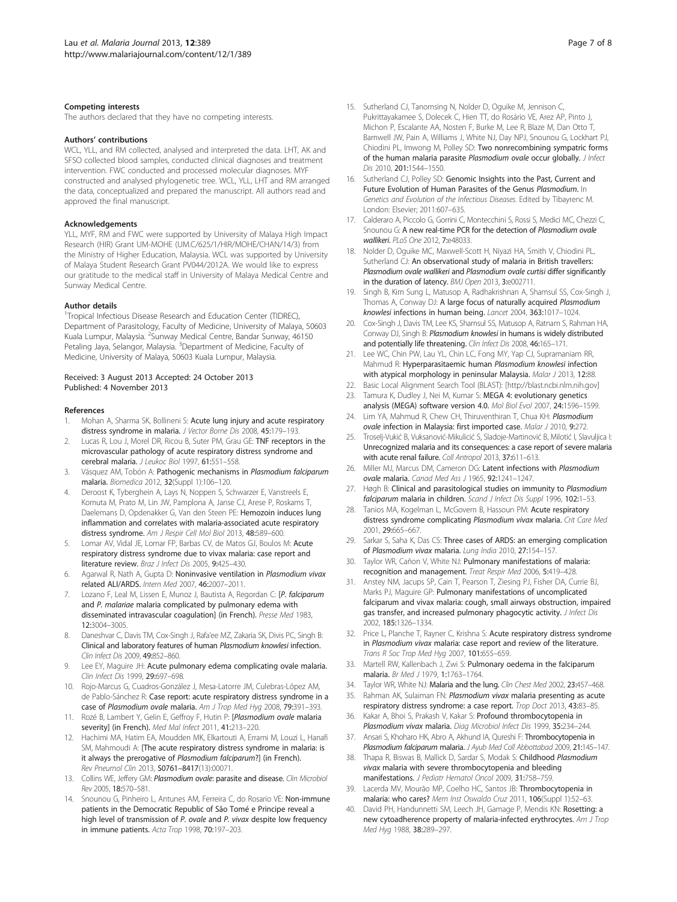#### <span id="page-6-0"></span>Competing interests

The authors declared that they have no competing interests.

#### Authors' contributions

WCL, YLL, and RM collected, analysed and interpreted the data. LHT, AK and SFSO collected blood samples, conducted clinical diagnoses and treatment intervention. FWC conducted and processed molecular diagnoses. MYF constructed and analysed phylogenetic tree. WCL, YLL, LHT and RM arranged the data, conceptualized and prepared the manuscript. All authors read and approved the final manuscript.

#### Acknowledgements

YLL, MYF, RM and FWC were supported by University of Malaya High Impact Research (HIR) Grant UM-MOHE (UM.C/625/1/HIR/MOHE/CHAN/14/3) from the Ministry of Higher Education, Malaysia. WCL was supported by University of Malaya Student Research Grant PV044/2012A. We would like to express our gratitude to the medical staff in University of Malaya Medical Centre and Sunway Medical Centre.

#### Author details

<sup>1</sup>Tropical Infectious Disease Research and Education Center (TIDREC), Department of Parasitology, Faculty of Medicine, University of Malaya, 50603 Kuala Lumpur, Malaysia. <sup>2</sup>Sunway Medical Centre, Bandar Sunway, 46150 Petaling Jaya, Selangor, Malaysia. <sup>3</sup>Department of Medicine, Faculty of Medicine, University of Malaya, 50603 Kuala Lumpur, Malaysia.

#### Received: 3 August 2013 Accepted: 24 October 2013 Published: 4 November 2013

#### References

- Mohan A, Sharma SK, Bollineni S: Acute lung injury and acute respiratory distress syndrome in malaria. J Vector Borne Dis 2008, 45:179–193.
- 2. Lucas R, Lou J, Morel DR, Ricou B, Suter PM, Grau GE: TNF receptors in the microvascular pathology of acute respiratory distress syndrome and cerebral malaria. J Leukoc Biol 1997, 61:551–558.
- 3. Vásquez AM, Tobón A: Pathogenic mechanisms in Plasmodium falciparum malaria. Biomedica 2012, 32(Suppl 1):106–120.
- 4. Deroost K, Tyberghein A, Lays N, Noppen S, Schwarzer E, Vanstreels E, Komuta M, Prato M, Lin JW, Pamplona A, Janse CJ, Arese P, Roskams T, Daelemans D, Opdenakker G, Van den Steen PE: Hemozoin induces lung inflammation and correlates with malaria-associated acute respiratory distress syndrome. Am J Respir Cell Mol Biol 2013, 48:589-600.
- 5. Lomar AV, Vidal JE, Lomar FP, Barbas CV, de Matos GJ, Boulos M: Acute respiratory distress syndrome due to vivax malaria: case report and literature review. Braz J Infect Dis 2005, 9:425–430.
- Agarwal R, Nath A, Gupta D: Noninvasive ventilation in Plasmodium vivax related ALI/ARDS. Intern Med 2007, 46:2007–2011.
- Lozano F, Leal M, Lissen E, Munoz J, Bautista A, Regordan C: [P. falciparum and P. malariae malaria complicated by pulmonary edema with disseminated intravascular coagulation] (in French). Presse Med 1983, 12:3004–3005.
- 8. Daneshvar C, Davis TM, Cox-Singh J, Rafa'ee MZ, Zakaria SK, Divis PC, Singh B: Clinical and laboratory features of human Plasmodium knowlesi infection. Clin Infect Dis 2009, 49:852–860.
- Lee EY, Maguire JH: Acute pulmonary edema complicating ovale malaria. Clin Infect Dis 1999, 29:697–698.
- 10. Rojo-Marcus G, Cuadros-González J, Mesa-Latorre JM, Culebras-López AM, de Pablo-Sánchez R: Case report: acute respiratory distress syndrome in a case of Plasmodium ovale malaria. Am J Trop Med Hyg 2008, 79:391-393.
- 11. Rozé B, Lambert Y, Gelin E, Geffroy F, Hutin P: [Plasmodium ovale malaria severity] (in French). Med Mal Infect 2011, 41:213-220.
- 12. Hachimi MA, Hatim EA, Moudden MK, Elkartouti A, Errami M, Louzi L, Hanafi SM, Mahmoudi A: [The acute respiratory distress syndrome in malaria: is it always the prerogative of Plasmodium falciparum?] (in French). Rev Pneumol Clin 2013, S0761–8417(13):00071.
- 13. Collins WE, Jeffery GM: Plasmodium ovale: parasite and disease. Clin Microbiol Rev 2005, 18:570–581.
- 14. Snounou G, Pinheiro L, Antunes AM, Ferreira C, do Rosario VE: Non-immune patients in the Democratic Republic of São Tomé e Principe reveal a high level of transmission of P. ovale and P. vivax despite low frequency in immune patients. Acta Trop 1998, 70:197–203.
- 15. Sutherland CJ, Tanomsing N, Nolder D, Oguike M, Jennison C, Pukrittayakamee S, Dolecek C, Hien TT, do Rosário VE, Arez AP, Pinto J, Michon P, Escalante AA, Nosten F, Burke M, Lee R, Blaze M, Dan Otto T, Barnwell JW, Pain A, Williams J, White NJ, Day NPJ, Snounou G, Lockhart PJ, Chiodini PL, Imwong M, Polley SD: Two nonrecombining sympatric forms of the human malaria parasite Plasmodium ovale occur globally. J Infect Dis 2010, 201:1544–1550.
- 16. Sutherland CJ, Polley SD: Genomic Insights into the Past, Current and Future Evolution of Human Parasites of the Genus Plasmodium. In Genetics and Evolution of the Infectious Diseases. Edited by Tibayrenc M. London: Elsevier; 2011:607–635.
- 17. Calderaro A, Piccolo G, Gorrini C, Montecchini S, Rossi S, Medici MC, Chezzi C, Snounou G: A new real-time PCR for the detection of Plasmodium ovale wallikeri. PLoS One 2012, 7:e48033.
- 18. Nolder D, Oguike MC, Maxwell-Scott H, Niyazi HA, Smith V, Chiodini PL, Sutherland CJ: An observational study of malaria in British travellers: Plasmodium ovale wallikeri and Plasmodium ovale curtisi differ significantly in the duration of latency. BMJ Open 2013, 3:e002711.
- 19. Singh B, Kim Sung L, Matusop A, Radhakrishnan A, Shamsul SS, Cox-Singh J, Thomas A, Conway DJ: A large focus of naturally acquired Plasmodium knowlesi infections in human being. Lancet 2004, 363:1017–1024.
- 20. Cox-Singh J, Davis TM, Lee KS, Shamsul SS, Matusop A, Ratnam S, Rahman HA, Conway DJ, Singh B: Plasmodium knowlesi in humans is widely distributed and potentially life threatening. Clin Infect Dis 2008, 46:165-171
- 21. Lee WC, Chin PW, Lau YL, Chin LC, Fong MY, Yap CJ, Supramaniam RR, Mahmud R: Hyperparasitaemic human Plasmodium knowlesi infection with atypical morphology in peninsular Malaysia. Malar J 2013, 12:88.
- 22. Basic Local Alignment Search Tool (BLAST): [[http://blast.ncbi.nlm.nih.gov\]](http://blast.ncbi.nlm.nih.gov)
- 23. Tamura K, Dudley J, Nei M, Kumar S: MEGA 4: evolutionary genetics analysis (MEGA) software version 4.0. Mol Biol Evol 2007, 24:1596–1599.
- 24. Lim YA, Mahmud R, Chew CH, Thiruventhiran T, Chua KH: Plasmodium ovale infection in Malaysia: first imported case. Malar J 2010, 9:272.
- 25. Troselj-Vukić B, Vuksanović-Mikulicić S, Sladoje-Martinović B, Milotić I, Slavuljica I: Unrecognized malaria and its consequences: a case report of severe malaria with acute renal failure. Coll Antropol 2013, 37:611-613.
- 26. Miller MJ, Marcus DM, Cameron DG: Latent infections with Plasmodium ovale malaria. Canad Med Ass J 1965, 92:1241–1247.
- 27. Høgh B: Clinical and parasitological studies on immunity to Plasmodium falciparum malaria in children. Scand J Infect Dis Suppl 1996, 102:1-53.
- 28. Tanios MA, Kogelman L, McGovern B, Hassoun PM: Acute respiratory distress syndrome complicating Plasmodium vivax malaria. Crit Care Med 2001, 29:665–667.
- 29. Sarkar S, Saha K, Das CS: Three cases of ARDS: an emerging complication of Plasmodium vivax malaria. Lung India 2010, 27:154–157.
- 30. Taylor WR, Cañon V, White NJ: Pulmonary manifestations of malaria: recognition and management. Treat Respir Med 2006, 5:419–428.
- 31. Anstey NM, Jacups SP, Cain T, Pearson T, Ziesing PJ, Fisher DA, Currie BJ, Marks PJ, Maguire GP: Pulmonary manifestations of uncomplicated falciparum and vivax malaria: cough, small airways obstruction, impaired gas transfer, and increased pulmonary phagocytic activity. J Infect Dis 2002, 185:1326–1334.
- 32. Price L, Planche T, Rayner C, Krishna S: Acute respiratory distress syndrome in Plasmodium vivax malaria: case report and review of the literature. Trans R Soc Trop Med Hyg 2007, 101:655–659.
- 33. Martell RW, Kallenbach J, Zwi S: Pulmonary oedema in the falciparum malaria. Br Med J 1979, 1:1763–1764.
- Taylor WR, White NJ: Malaria and the lung. Clin Chest Med 2002, 23:457-468.
- 35. Rahman AK, Sulaiman FN: Plasmodium vivax malaria presenting as acute respiratory distress syndrome: a case report. Trop Doct 2013, 43:83–85.
- 36. Kakar A, Bhoi S, Prakash V, Kakar S: Profound thrombocytopenia in Plasmodium vivax malaria. Diag Microbiol Infect Dis 1999, 35:234-244.
- 37. Ansari S, Khoharo HK, Abro A, Akhund IA, Qureshi F: Thrombocytopenia in Plasmodium falciparum malaria. J Ayub Med Coll Abbottabad 2009, 21:145-147.
- 38. Thapa R, Biswas B, Mallick D, Sardar S, Modak S: Childhood Plasmodium vivax malaria with severe thrombocytopenia and bleeding manifestations. J Pediatr Hematol Oncol 2009, 31:758–759.
- 39. Lacerda MV, Mourão MP, Coelho HC, Santos JB: Thrombocytopenia in malaria: who cares? Mem Inst Oswaldo Cruz 2011, 106(Suppl 1):52–63.
- 40. David PH, Handunnetti SM, Leech JH, Gamage P, Mendis KN: Rosetting: a new cytoadherence property of malaria-infected erythrocytes. Am J Trop Med Hyg 1988, 38:289–297.